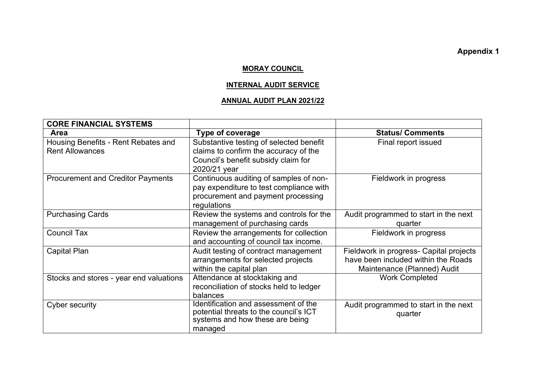**Appendix 1** 

## **MORAY COUNCIL**

## **INTERNAL AUDIT SERVICE**

## **ANNUAL AUDIT PLAN 2021/22**

| <b>CORE FINANCIAL SYSTEMS</b>            |                                                                           |                                         |
|------------------------------------------|---------------------------------------------------------------------------|-----------------------------------------|
| <b>Area</b>                              | <b>Type of coverage</b>                                                   | <b>Status/ Comments</b>                 |
| Housing Benefits - Rent Rebates and      | Substantive testing of selected benefit                                   | Final report issued                     |
| <b>Rent Allowances</b>                   | claims to confirm the accuracy of the                                     |                                         |
|                                          | Council's benefit subsidy claim for                                       |                                         |
|                                          | 2020/21 year                                                              |                                         |
| <b>Procurement and Creditor Payments</b> | Continuous auditing of samples of non-                                    | Fieldwork in progress                   |
|                                          | pay expenditure to test compliance with                                   |                                         |
|                                          | procurement and payment processing                                        |                                         |
|                                          | regulations                                                               |                                         |
| <b>Purchasing Cards</b>                  | Review the systems and controls for the                                   | Audit programmed to start in the next   |
|                                          | management of purchasing cards                                            | quarter                                 |
| <b>Council Tax</b>                       | Review the arrangements for collection                                    | Fieldwork in progress                   |
|                                          | and accounting of council tax income.                                     |                                         |
| <b>Capital Plan</b>                      | Audit testing of contract management                                      | Fieldwork in progress- Capital projects |
|                                          | arrangements for selected projects                                        | have been included within the Roads     |
|                                          | within the capital plan                                                   | Maintenance (Planned) Audit             |
| Stocks and stores - year end valuations  | Attendance at stocktaking and                                             | <b>Work Completed</b>                   |
|                                          | reconciliation of stocks held to ledger                                   |                                         |
|                                          | balances                                                                  |                                         |
| Cyber security                           | Identification and assessment of the                                      | Audit programmed to start in the next   |
|                                          | potential threats to the council's ICT<br>systems and how these are being | quarter                                 |
|                                          | managed                                                                   |                                         |
|                                          |                                                                           |                                         |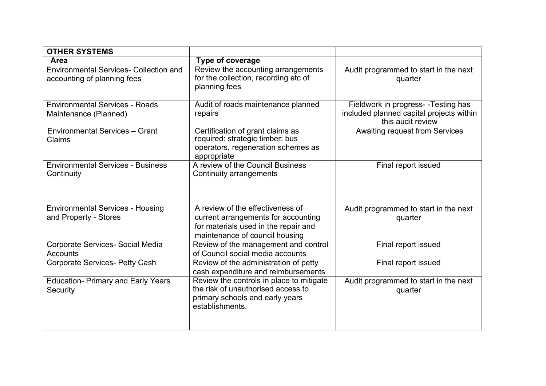| <b>OTHER SYSTEMS</b>                                                         |                                                                                                                                                   |                                                                                                       |
|------------------------------------------------------------------------------|---------------------------------------------------------------------------------------------------------------------------------------------------|-------------------------------------------------------------------------------------------------------|
| <b>Area</b>                                                                  | <b>Type of coverage</b>                                                                                                                           |                                                                                                       |
| <b>Environmental Services- Collection and</b><br>accounting of planning fees | Review the accounting arrangements<br>for the collection, recording etc of<br>planning fees                                                       | Audit programmed to start in the next<br>quarter                                                      |
| <b>Environmental Services - Roads</b><br>Maintenance (Planned)               | Audit of roads maintenance planned<br>repairs                                                                                                     | Fieldwork in progress- - Testing has<br>included planned capital projects within<br>this audit review |
| <b>Environmental Services - Grant</b><br>Claims                              | Certification of grant claims as<br>required: strategic timber; bus<br>operators, regeneration schemes as<br>appropriate                          | <b>Awaiting request from Services</b>                                                                 |
| <b>Environmental Services - Business</b><br>Continuity                       | A review of the Council Business<br><b>Continuity arrangements</b>                                                                                | Final report issued                                                                                   |
| <b>Environmental Services - Housing</b><br>and Property - Stores             | A review of the effectiveness of<br>current arrangements for accounting<br>for materials used in the repair and<br>maintenance of council housing | Audit programmed to start in the next<br>quarter                                                      |
| Corporate Services- Social Media<br><b>Accounts</b>                          | Review of the management and control<br>of Council social media accounts                                                                          | Final report issued                                                                                   |
| <b>Corporate Services- Petty Cash</b>                                        | Review of the administration of petty<br>cash expenditure and reimbursements                                                                      | Final report issued                                                                                   |
| <b>Education- Primary and Early Years</b><br>Security                        | Review the controls in place to mitigate<br>the risk of unauthorised access to<br>primary schools and early years<br>establishments.              | Audit programmed to start in the next<br>quarter                                                      |